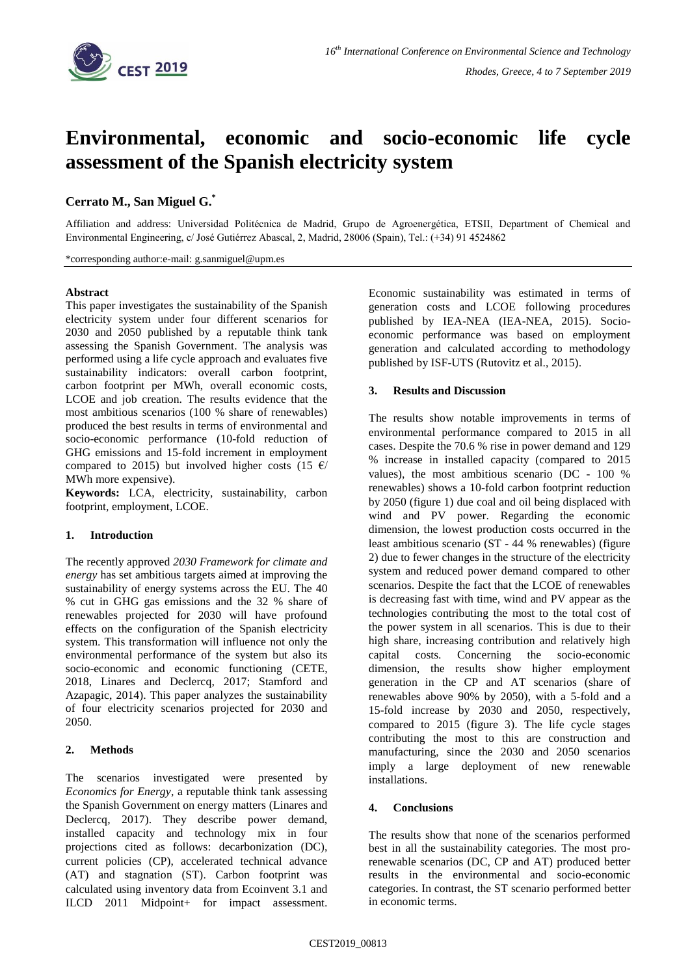

# **Environmental, economic and socio-economic life cycle assessment of the Spanish electricity system**

## **Cerrato M., San Miguel G.\***

Affiliation and address: Universidad Politécnica de Madrid, Grupo de Agroenergética, ETSII, Department of Chemical and Environmental Engineering, c/ José Gutiérrez Abascal, 2, Madrid, 28006 (Spain), Tel.: (+34) 91 4524862

\*corresponding author:e-mail: g.sanmiguel@upm.es

## **Abstract**

This paper investigates the sustainability of the Spanish electricity system under four different scenarios for 2030 and 2050 published by a reputable think tank assessing the Spanish Government. The analysis was performed using a life cycle approach and evaluates five sustainability indicators: overall carbon footprint, carbon footprint per MWh, overall economic costs, LCOE and job creation. The results evidence that the most ambitious scenarios (100 % share of renewables) produced the best results in terms of environmental and socio-economic performance (10-fold reduction of GHG emissions and 15-fold increment in employment compared to 2015) but involved higher costs (15  $\epsilon$ / MWh more expensive).

**Keywords:** LCA, electricity, sustainability, carbon footprint, employment, LCOE.

## **1. Introduction**

The recently approved *2030 Framework for climate and energy* has set ambitious targets aimed at improving the sustainability of energy systems across the EU. The 40 % cut in GHG gas emissions and the 32 % share of renewables projected for 2030 will have profound effects on the configuration of the Spanish electricity system. This transformation will influence not only the environmental performance of the system but also its socio-economic and economic functioning (CETE, 2018, Linares and Declercq, 2017; Stamford and Azapagic, 2014). This paper analyzes the sustainability of four electricity scenarios projected for 2030 and 2050.

## **2. Methods**

The scenarios investigated were presented by *Economics for Energy*, a reputable think tank assessing the Spanish Government on energy matters (Linares and Declercq, 2017). They describe power demand, installed capacity and technology mix in four projections cited as follows: decarbonization (DC), current policies (CP), accelerated technical advance (AT) and stagnation (ST). Carbon footprint was calculated using inventory data from Ecoinvent 3.1 and ILCD 2011 Midpoint+ for impact assessment. Economic sustainability was estimated in terms of generation costs and LCOE following procedures published by IEA-NEA (IEA-NEA, 2015). Socioeconomic performance was based on employment generation and calculated according to methodology published by ISF-UTS (Rutovitz et al., 2015).

## **3. Results and Discussion**

The results show notable improvements in terms of environmental performance compared to 2015 in all cases. Despite the 70.6 % rise in power demand and 129 % increase in installed capacity (compared to 2015 values), the most ambitious scenario (DC - 100 % renewables) shows a 10-fold carbon footprint reduction by 2050 (figure 1) due coal and oil being displaced with wind and PV power. Regarding the economic dimension, the lowest production costs occurred in the least ambitious scenario (ST - 44 % renewables) (figure 2) due to fewer changes in the structure of the electricity system and reduced power demand compared to other scenarios. Despite the fact that the LCOE of renewables is decreasing fast with time, wind and PV appear as the technologies contributing the most to the total cost of the power system in all scenarios. This is due to their high share, increasing contribution and relatively high capital costs. Concerning the socio-economic dimension, the results show higher employment generation in the CP and AT scenarios (share of renewables above 90% by 2050), with a 5-fold and a 15-fold increase by 2030 and 2050, respectively, compared to 2015 (figure 3). The life cycle stages contributing the most to this are construction and manufacturing, since the 2030 and 2050 scenarios imply a large deployment of new renewable installations.

#### **4. Conclusions**

The results show that none of the scenarios performed best in all the sustainability categories. The most prorenewable scenarios (DC, CP and AT) produced better results in the environmental and socio-economic categories. In contrast, the ST scenario performed better in economic terms.